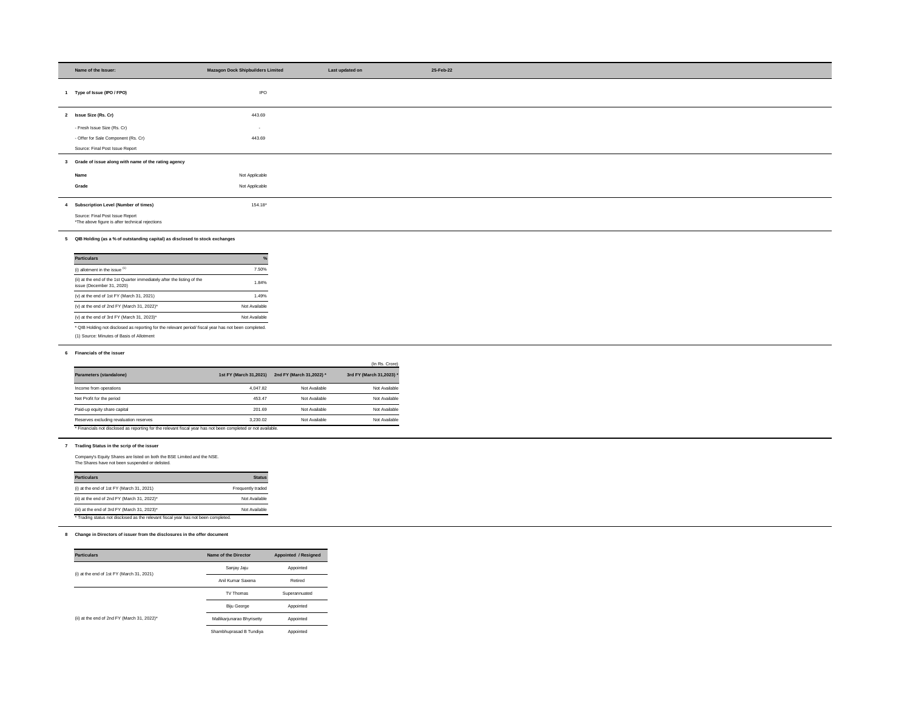| Name of the Issuer:                                                                                           | <b>Mazagon Dock Shipbuilders Limited</b> |                                                 | Last updated on        |
|---------------------------------------------------------------------------------------------------------------|------------------------------------------|-------------------------------------------------|------------------------|
|                                                                                                               |                                          |                                                 |                        |
| 1 Type of Issue (IPO / FPO)                                                                                   | <b>IPO</b>                               |                                                 |                        |
|                                                                                                               |                                          |                                                 |                        |
| 2 Issue Size (Rs. Cr)                                                                                         | 443.69                                   |                                                 |                        |
| - Fresh Issue Size (Rs. Cr)                                                                                   | $\sim$                                   |                                                 |                        |
| - Offer for Sale Component (Rs. Cr)                                                                           | 443.69                                   |                                                 |                        |
| Source: Final Post Issue Report                                                                               |                                          |                                                 |                        |
| 3 Grade of issue along with name of the rating agency                                                         |                                          |                                                 |                        |
| Name                                                                                                          | Not Applicable                           |                                                 |                        |
| Grade                                                                                                         | Not Applicable                           |                                                 |                        |
|                                                                                                               |                                          |                                                 |                        |
| 4 Subscription Level (Number of times)                                                                        | 154.18*                                  |                                                 |                        |
| Source: Final Post Issue Report                                                                               |                                          |                                                 |                        |
| *The above figure is after technical rejections                                                               |                                          |                                                 |                        |
| 5 QIB Holding (as a % of outstanding capital) as disclosed to stock exchanges                                 |                                          |                                                 |                        |
|                                                                                                               |                                          |                                                 |                        |
| <b>Particulars</b>                                                                                            |                                          |                                                 |                        |
| (i) allotment in the issue $(1)$                                                                              | 7.50%                                    |                                                 |                        |
| (ii) at the end of the 1st Quarter immediately after the listing of the<br>issue (December 31, 2020)          | 1.84%                                    |                                                 |                        |
| (v) at the end of 1st FY (March 31, 2021)                                                                     | 1.49%                                    |                                                 |                        |
| (v) at the end of 2nd FY (March 31, 2022)*                                                                    | Not Available                            |                                                 |                        |
| (v) at the end of 3rd FY (March 31, 2023)*                                                                    | Not Available                            |                                                 |                        |
| * QIB Holding not disclosed as reporting for the relevant period/ fiscal year has not been completed.         |                                          |                                                 |                        |
| (1) Source: Minutes of Basis of Allotment                                                                     |                                          |                                                 |                        |
| 6 Financials of the issuer                                                                                    |                                          |                                                 |                        |
|                                                                                                               |                                          |                                                 | (In Rs. Crore)         |
| Parameters (standalone)                                                                                       |                                          | 1st FY (March 31,2021) 2nd FY (March 31,2022) * | 3rd FY (March 31,2023) |
| Income from operations                                                                                        | 4,047.82                                 | Not Available                                   | Not Available          |
| Net Profit for the period                                                                                     | 453.47                                   | Not Available                                   | Not Available          |
| Paid-up equity share capital                                                                                  | 201.69                                   | Not Available                                   | Not Available          |
| Reserves excluding revaluation reserves                                                                       | 3,230.02                                 | Not Available                                   | Not Available          |
| * Financials not disclosed as reporting for the relevant fiscal year has not been completed or not available. |                                          |                                                 |                        |
| 7 Trading Status in the scrip of the issuer                                                                   |                                          |                                                 |                        |
| Company's Equity Shares are listed on both the BSE Limited and the NSE.                                       |                                          |                                                 |                        |
| The Shares have not been suspended or delisted.                                                               |                                          |                                                 |                        |
| <b>Particulars</b>                                                                                            | <b>Status</b>                            |                                                 |                        |
| (i) at the end of 1st FY (March 31, 2021)                                                                     | Frequently traded                        |                                                 |                        |
| (ii) at the end of 2nd FY (March 31, 2022)*                                                                   | Not Available                            |                                                 |                        |
| (iii) at the end of 3rd FY (March 31, 2023)*                                                                  | Not Available                            |                                                 |                        |
| * Trading status not disclosed as the relevant fiscal year has not been completed.                            |                                          |                                                 |                        |
| 8 Change in Directors of issuer from the disclosures in the offer document                                    |                                          |                                                 |                        |
|                                                                                                               |                                          |                                                 |                        |
| <b>Particulars</b>                                                                                            | Name of the Director                     | <b>Appointed / Resigned</b>                     |                        |
|                                                                                                               | Sanjay Jaju                              | Appointed                                       |                        |
| (i) at the end of 1st FY (March 31, 2021)                                                                     | Anil Kumar Saxena                        | Retired                                         |                        |
|                                                                                                               |                                          |                                                 |                        |
|                                                                                                               | TV Thomas                                | Superannuated                                   |                        |
|                                                                                                               | Biju George                              | Appointed                                       |                        |

| <b>Particulars</b>                                                                                   | $\frac{0}{0}$ |
|------------------------------------------------------------------------------------------------------|---------------|
| (i) allotment in the issue $(1)$                                                                     | 7.50%         |
| (ii) at the end of the 1st Quarter immediately after the listing of the<br>issue (December 31, 2020) | 1.84%         |
| $(v)$ at the end of 1st FY (March 31, 2021)                                                          | 1.49%         |
| (v) at the end of 2nd FY (March 31, 2022)*                                                           | Not Available |
| (v) at the end of 3rd FY (March 31, 2023)*                                                           | Not Available |

|                                                                                                              |                        |                          | (In Rs. Crore)           |
|--------------------------------------------------------------------------------------------------------------|------------------------|--------------------------|--------------------------|
| Parameters (standalone)                                                                                      | 1st FY (March 31,2021) | 2nd FY (March 31,2022) * | 3rd FY (March 31,2023) * |
| Income from operations                                                                                       | 4.047.82               | Not Available            | Not Available            |
| Net Profit for the period                                                                                    | 453.47                 | Not Available            | Not Available            |
| Paid-up equity share capital                                                                                 | 201.69                 | Not Available            | Not Available            |
| Reserves excluding revaluation reserves                                                                      | 3,230.02               | Not Available            | Not Available            |
| * Financials not disclosed as reporting for the relevant fiscal year has not been completed or not available |                        |                          |                          |

| <b>Particulars</b>                                                                 | <b>Status</b>     |
|------------------------------------------------------------------------------------|-------------------|
| (i) at the end of 1st $FY$ (March 31, 2021)                                        | Frequently traded |
| (ii) at the end of 2nd FY (March 31, 2022)*                                        | Not Available     |
| (iii) at the end of 3rd FY (March 31, 2023)*                                       | Not Available     |
| * Trading status not disclosed as the relevant fiscal year has not been completed. |                   |

| <b>Particulars</b>                          | Name of the Director       | Appointed / Resigned |  |
|---------------------------------------------|----------------------------|----------------------|--|
|                                             | Sanjay Jaju                | Appointed            |  |
| (i) at the end of 1st $FY$ (March 31, 2021) | Anil Kumar Saxena          | Retired              |  |
|                                             | TV Thomas                  | Superannuated        |  |
|                                             | <b>Biju George</b>         | Appointed            |  |
| (ii) at the end of 2nd FY (March 31, 2022)* | Mallikarjunarao Bhyrisetty | Appointed            |  |
|                                             | Shambhuprasad B Tundiya    | Appointed            |  |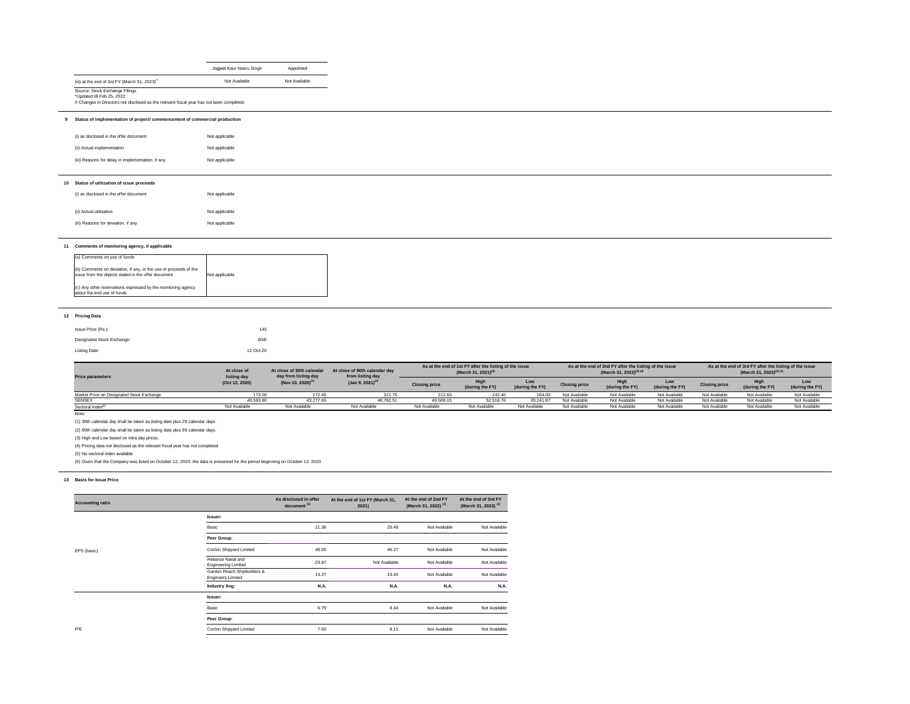### **12 Pricing Data**

| Issue Price (Rs.):         | 145        |
|----------------------------|------------|
| Designated Stock Exchange: | <b>BSE</b> |
| Listing Date:              | 12-Oct-20  |

|                                                                                                                         | Jagjeet Kaur Neeru Singh | Appointed                                                                                                                                                              |
|-------------------------------------------------------------------------------------------------------------------------|--------------------------|------------------------------------------------------------------------------------------------------------------------------------------------------------------------|
| (iii) at the end of 3rd FY (March 31, 2023) $#$                                                                         | Not Available            | Not Available                                                                                                                                                          |
| Source: Stock Exchange Filings<br>*Updated till Feb 25, 2022                                                            |                          |                                                                                                                                                                        |
|                                                                                                                         |                          |                                                                                                                                                                        |
| (i) as disclosed in the offer document                                                                                  | Not applicable           |                                                                                                                                                                        |
| (ii) Actual implementation                                                                                              | Not applicable           |                                                                                                                                                                        |
| (iii) Reasons for delay in implementation, if any                                                                       | Not applicable           |                                                                                                                                                                        |
|                                                                                                                         |                          |                                                                                                                                                                        |
| Status of utilization of issue proceeds                                                                                 |                          |                                                                                                                                                                        |
| (i) as disclosed in the offer document                                                                                  | Not applicable           |                                                                                                                                                                        |
| (ii) Actual utilization                                                                                                 | Not applicable           |                                                                                                                                                                        |
| (iii) Reasons for deviation, if any                                                                                     | Not applicable           |                                                                                                                                                                        |
|                                                                                                                         |                          |                                                                                                                                                                        |
| Comments of monitoring agency, if applicable                                                                            |                          |                                                                                                                                                                        |
| (a) Comments on use of funds                                                                                            |                          |                                                                                                                                                                        |
| (b) Comments on deviation, if any, in the use of proceeds of the<br>issue from the objects stated in the offer document | Not applicable           |                                                                                                                                                                        |
| (c) Any other reservations expressed by the monitoring agency<br>about the end use of funds                             |                          |                                                                                                                                                                        |
|                                                                                                                         |                          |                                                                                                                                                                        |
|                                                                                                                         |                          | # Changes in Directors not disclosed as the relevant fiscal year has not been completed.<br>Status of implementation of project/ commencement of commercial production |

Note:

(1) 30th calendar day shall be taken as listing date plus 29 calendar days.

(2) 90th calendar day shall be taken as listing date plus 89 calendar days.

(3) High and Low based on intra day prices.

(4) Pricing data not disclosed as the relevant fiscal year has not completed.

(5) No sectoral index available

(6) Given that the Company was listed on October 12, 2020, the data is presented for the period beginning on October 12, 2020

## **13 Basis for Issue Price**

| <b>Price parameters</b>                   | At close of 30th calendar<br>At close of<br>day from listing day |                               | At close of 90th calendar day<br>from listing day | As at the end of 1st FY after the listing of the issue<br>(March 31, 2021) <sup>(3)</sup> |                 | As at the end of 2nd FY after the listing of the issue<br>(March 31, 2022) <sup>(3)(4)</sup> |                      |                 | As at the end of 3rd FY after the listing of the issue<br>(March 31, 2023) <sup>(3)(4)</sup> |                      |                 |                        |
|-------------------------------------------|------------------------------------------------------------------|-------------------------------|---------------------------------------------------|-------------------------------------------------------------------------------------------|-----------------|----------------------------------------------------------------------------------------------|----------------------|-----------------|----------------------------------------------------------------------------------------------|----------------------|-----------------|------------------------|
| listing day<br>(Oct 12, 2020)             |                                                                  | (Nov 10, 2020) <sup>(1)</sup> | (Jan 9, 2021) <sup>(2)</sup>                      | <b>Closing price</b>                                                                      | (during the FY) | Low<br>(during the FY)                                                                       | <b>Closing price</b> | (during the FY) | Low<br>(during the FY)                                                                       | <b>Closing price</b> | (during the FY) | Low<br>(during the FY) |
| Market Price on Designated Stock Exchange | 173.00                                                           | 172.45                        | 221.75                                            | 212.60                                                                                    | 242.40          | 164.00                                                                                       | Not Available        | Not Available   | Not Available                                                                                | Not Available        | Not Available   | Not Available          |
| <b>SENSEX</b>                             | 40,593.80                                                        | 43,277.65                     | 48.782.51                                         | 49,509.15                                                                                 | 52,516.76       | 39.241.87                                                                                    | Not Available        | Not Available   | Not Available                                                                                | Not Available        | Not Available   | Not Available          |
| Sectoral Index <sup>(5)</sup>             | Not Available                                                    | Not Available                 | Not Available                                     | Not Available                                                                             | Not Available   | Not Available                                                                                | Not Available        | Not Available   | Not Available                                                                                | Not Available        | Not Available   | Not Available          |

| <b>Accounting ratio</b> |                                                         | As disclosed in offer<br>document <sup>(1)</sup> | At the end of 1st FY (March 31,<br>2021) | At the end of 2nd FY<br>(March 31, 2022) <sup>(2)</sup> | At the end of 3rd FY<br>(March 31, 2023) <sup>(2)</sup> |
|-------------------------|---------------------------------------------------------|--------------------------------------------------|------------------------------------------|---------------------------------------------------------|---------------------------------------------------------|
|                         | Issuer:                                                 |                                                  |                                          |                                                         |                                                         |
|                         | Basic                                                   | 21.36                                            | 25.48                                    | Not Available                                           | Not Available                                           |
|                         | Peer Group:                                             |                                                  |                                          |                                                         |                                                         |
| EPS (basic)             | Cochin Shipyard Limited                                 | 48.05                                            | 46.27                                    | Not Available                                           | Not Available                                           |
|                         | Reliance Naval and<br><b>Engineering Limited</b>        | $-23.87$                                         | Not Available                            | Not Available                                           | Not Available                                           |
|                         | Garden Reach Shipbuilders &<br><b>Engineers Limited</b> | 14.27                                            | 13.40                                    | Not Available                                           | Not Available                                           |
|                         | <b>Industry Avg:</b>                                    | <b>N.A.</b>                                      | <b>N.A.</b>                              | <b>N.A.</b>                                             | <b>N.A.</b>                                             |
|                         | Issuer:                                                 |                                                  |                                          |                                                         |                                                         |
|                         | Basic                                                   | 6.79                                             | 8.34                                     | Not Available                                           | Not Available                                           |
|                         | Peer Group:                                             |                                                  |                                          |                                                         |                                                         |
| P/E                     | Cochin Shipyard Limited                                 | 7.60                                             | 8.11                                     | Not Available                                           | Not Available                                           |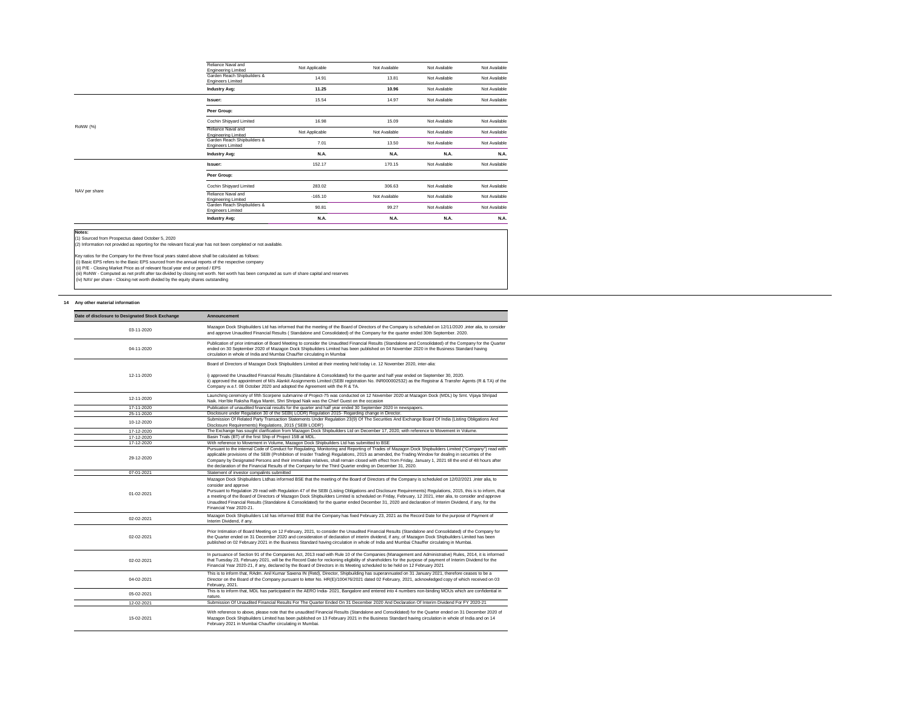(iii) RoNW - Computed as net profit after tax divided by closing net worth. Net worth has been computed as sum of share capital and reserves (iv) NAV per share - Closing net worth divided by the equity shares outstanding

### **14 Any other material information**

(ii) P/E - Closing Market Price as of relevant fiscal year end or period / EPS

| <b>Engineering Limited</b><br>Garden Reach Shipbuilders &<br><b>Engineers Limited</b> | 90.81                                                                            | 99.27         | Not Available | Not Available |
|---------------------------------------------------------------------------------------|----------------------------------------------------------------------------------|---------------|---------------|---------------|
|                                                                                       |                                                                                  |               |               |               |
| Reliance Naval and                                                                    |                                                                                  | Not Available | Not Available | Not Available |
| Cochin Shipyard Limited                                                               | 283.02                                                                           | 306.63        | Not Available | Not Available |
| Peer Group:                                                                           |                                                                                  |               |               |               |
| Issuer:                                                                               | 152.17                                                                           | 170.15        | Not Available | Not Available |
| <b>Industry Avg:</b>                                                                  | <b>N.A.</b>                                                                      | N.A.          | N.A.          | <b>N.A.</b>   |
| <b>Engineers Limited</b>                                                              | 7.01                                                                             | 13.50         | Not Available | Not Available |
| <b>Engineering Limited</b>                                                            | Not Applicable                                                                   | Not Available | Not Available | Not Available |
| Cochin Shipyard Limited                                                               | 16.98                                                                            | 15.09         | Not Available | Not Available |
| Peer Group:                                                                           |                                                                                  |               |               |               |
| Issuer:                                                                               | 15.54                                                                            | 14.97         | Not Available | Not Available |
| <b>Industry Avg:</b>                                                                  | 11.25                                                                            | 10.96         | Not Available | Not Available |
| <b>Engineers Limited</b>                                                              | 14.91                                                                            | 13.81         | Not Available | Not Available |
| Reliance Naval and<br><b>Engineering Limited</b>                                      | Not Applicable                                                                   | Not Available | Not Available | Not Available |
|                                                                                       | Garden Reach Shipbuilders &<br>Reliance Naval and<br>Garden Reach Shipbuilders & |               | $-165.10$     |               |

**Notes:** (1) Sourced from Prospectus dated October 5, 2020

| Date of disclosure to Designated Stock Exchange | <b>Announcement</b>                                                                                                                                                                                                                                                                                                                                                                                                                                                                                                                                                                                                                                                                    |
|-------------------------------------------------|----------------------------------------------------------------------------------------------------------------------------------------------------------------------------------------------------------------------------------------------------------------------------------------------------------------------------------------------------------------------------------------------------------------------------------------------------------------------------------------------------------------------------------------------------------------------------------------------------------------------------------------------------------------------------------------|
| 03-11-2020                                      | Mazagon Dock Shipbuilders Ltd has informed that the meeting of the Board of Directors of the Company is scheduled on 12/11/2020 , inter alia, to consider<br>and approve Unaudited Financial Results (Standalone and Consolidated) of the Company for the quarter ended 30th September. 2020.                                                                                                                                                                                                                                                                                                                                                                                          |
| 04-11-2020                                      | Publication of prior intimation of Board Meeting to consider the Unaudited Financial Results (Standalone and Consolidated) of the Company for the Quarter<br>ended on 30 September 2020 of Mazagon Dock Shipbuilders Limited has been published on 04 November 2020 in the Business Standard having<br>circulation in whole of India and Mumbai Chauffer circulating in Mumbai                                                                                                                                                                                                                                                                                                         |
|                                                 | Board of Directors of Mazagon Dock Shipbuilders Limited at their meeting held today i.e. 12 November 2020, inter-alia:                                                                                                                                                                                                                                                                                                                                                                                                                                                                                                                                                                 |
| 12-11-2020                                      | i) approved the Unaudited Financial Results (Standalone & Consolidated) for the quarter and half year ended on September 30, 2020.<br>ii) approved the appointment of M/s Alankit Assignments Limited (SEBI registration No. INR000002532) as the Registrar & Transfer Agents (R & TA) of the<br>Company w.e.f. 08 October 2020 and adopted the Agreement with the R & TA.                                                                                                                                                                                                                                                                                                             |
| 12-11-2020                                      | Launching ceremony of fifth Scorpene submarine of Project-75 was conducted on 12 November 2020 at Mazagon Dock (MDL) by Smt. Vijaya Shripad<br>Naik. Hon'ble Raksha Rajya Mantri, Shri Shripad Naik was the Chief Guest on the occasion                                                                                                                                                                                                                                                                                                                                                                                                                                                |
| 17-11-2020                                      | Publication of unaudited financial results for the quarter and half year ended 30 September 2020 in newspapers.                                                                                                                                                                                                                                                                                                                                                                                                                                                                                                                                                                        |
| 25-11-2020                                      | Disclosure under Regulation 30 of the SEBI(LODR) Regulation 2015- Regarding change in Director.                                                                                                                                                                                                                                                                                                                                                                                                                                                                                                                                                                                        |
| 10-12-2020                                      | Submission Of Related Party Transaction Statements Under Regulation 23(9) Of The Securities And Exchange Board Of India (Listing Obligations And<br>Disclosure Requirements) Regulations, 2015 ('SEBI LODR')                                                                                                                                                                                                                                                                                                                                                                                                                                                                           |
| 17-12-2020                                      | The Exchange has sought clarification from Mazagon Dock Shipbuilders Ltd on December 17, 2020, with reference to Movement in Volume.                                                                                                                                                                                                                                                                                                                                                                                                                                                                                                                                                   |
| 17-12-2020                                      | Basin Trials (BT) of the first Ship of Project 15B at MDL.                                                                                                                                                                                                                                                                                                                                                                                                                                                                                                                                                                                                                             |
| 17-12-2020                                      | With reference to Movement in Volume, Mazagon Dock Shipbuilders Ltd has submitted to BSE                                                                                                                                                                                                                                                                                                                                                                                                                                                                                                                                                                                               |
| 29-12-2020                                      | Pursuant to the internal Code of Conduct for Regulating, Monitoring and Reporting of Trades of Mazagon Dock Shipbuilders Limited ("Company") read with<br>applicable provisions of the SEBI (Prohibition of Insider Trading) Regulations, 2015 as amended, the Trading Window for dealing in securities of the<br>Company by Designated Persons and their immediate relatives, shall remain closed with effect from Friday, January 1, 2021 till the end of 48 hours after<br>the declaration of the Financial Results of the Company for the Third Quarter ending on December 31, 2020.                                                                                               |
| 07-01-2021                                      | Statement of investor compalints submitted                                                                                                                                                                                                                                                                                                                                                                                                                                                                                                                                                                                                                                             |
| 01-02-2021                                      | Mazagon Dock Shipbuilders Ltdhas informed BSE that the meeting of the Board of Directors of the Company is scheduled on 12/02/2021 ,inter alia, to<br>consider and approve<br>Pursuant to Regulation 29 read with Regulation 47 of the SEBI (Listing Obligations and Disclosure Requirements) Regulations, 2015, this is to inform, that<br>a meeting of the Board of Directors of Mazagon Dock Shipbuilders Limited is scheduled on Friday, February, 12 2021, inter alia, to consider and approve<br>Unaudited Financial Results (Standalone & Consolidated) for the quarter ended December 31, 2020 and declaration of Interim Dividend, if any, for the<br>Financial Year 2020-21. |
| 02-02-2021                                      | Mazagon Dock Shipbuilders Ltd has informed BSE that the Company has fixed February 23, 2021 as the Record Date for the purpose of Payment of<br>Interim Dividend, if any.                                                                                                                                                                                                                                                                                                                                                                                                                                                                                                              |
| 02-02-2021                                      | Prior Intimation of Board Meeting on 12 February, 2021, to consider the Unaudited Financial Results (Standalone and Consolidated) of the Company for<br>the Quarter ended on 31 December 2020 and consideration of declaration of interim dividend, if any, of Mazagon Dock Shipbuilders Limited has been<br>published on 02 February 2021 in the Business Standard having circulation in whole of India and Mumbai Chauffer circulating in Mumbai.                                                                                                                                                                                                                                    |
| 02-02-2021                                      | In pursuance of Section 91 of the Companies Act, 2013 read with Rule 10 of the Companies (Management and Administrative) Rules, 2014, it is informed<br>that Tuesday 23, February 2021, will be the Record Date for reckoning eligibility of shareholders for the purpose of payment of Interim Dividend for the<br>Financial Year 2020-21, if any, declared by the Board of Directors in its Meeting scheduled to be held on 12 February 2021                                                                                                                                                                                                                                         |
| 04-02-2021                                      | This is to inform that, RAdm. Anil Kumar Saxena IN (Retd), Director, Shipbuilding has superannuated on 31 January 2021, therefore ceases to be a<br>Director on the Board of the Company pursuant to letter No. HR(E)/100476/2021 dated 02 February, 2021, acknowledged copy of which received on 03<br>February, 2021.                                                                                                                                                                                                                                                                                                                                                                |
| 05-02-2021                                      | This is to inform that, MDL has participated in the AERO India-2021, Bangalore and entered into 4 numbers non-binding MOUs which are confidential in<br>nature.                                                                                                                                                                                                                                                                                                                                                                                                                                                                                                                        |
| 12-02-2021                                      | Submission Of Unaudited Financial Results For The Quarter Ended On 31 December 2020 And Declaration Of Interim Dividend For FY 2020-21                                                                                                                                                                                                                                                                                                                                                                                                                                                                                                                                                 |
| 15-02-2021                                      | With reference to above, please note that the unaudited Financial Results (Standalone and Consolidated) for the Quarter ended on 31 December 2020 of<br>Mazagon Dock Shipbuilders Limited has been published on 13 February 2021 in the Business Standard having circulation in whole of India and on 14<br>February 2021 in Mumbai Chauffer circulating in Mumbai.                                                                                                                                                                                                                                                                                                                    |

# $\overline{\phantom{a}}$

(2) Information not provided as reporting for the relevant fiscal year has not been completed or not available.

Key ratios for the Company for the three fiscal years stated above shall be calculated as follows:

(i) Basic EPS refers to the Basic EPS sourced from the annual reports of the respective company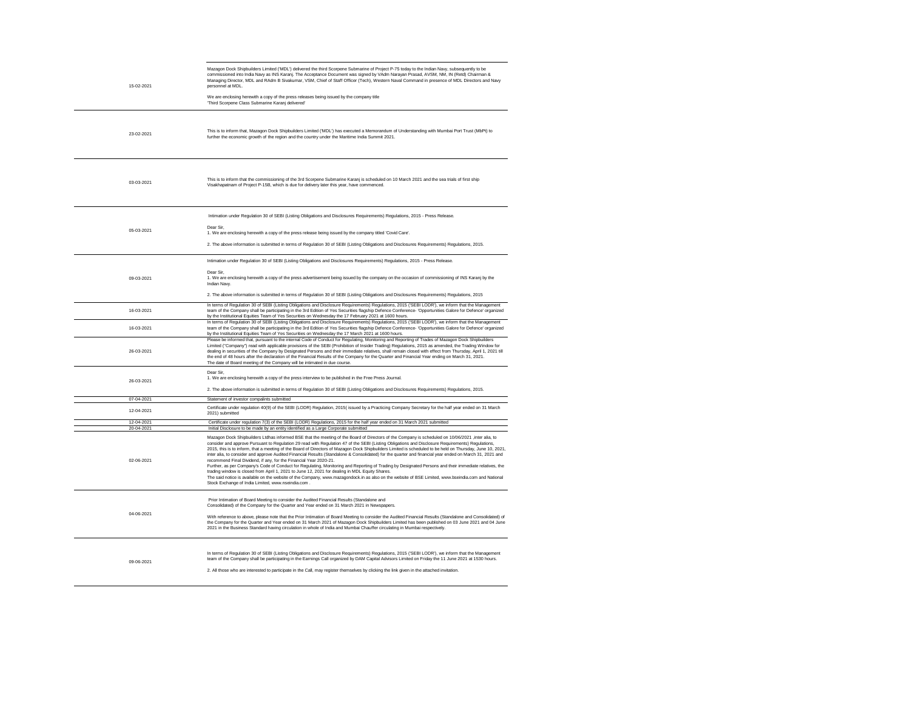| 15-02-2021               | Mazagon Dock Shipbuilders Limited ('MDL') delivered the third Scorpene Submarine of Project P-75 today to the Indian Navy, subsequently to be<br>commissioned into India Navy as INS Karanj. The Acceptance Document was signed by VAdm Narayan Prasad, AVSM, NM, IN (Retd) Chairman &<br>Managing Director, MDL and RAdm B Sivakumar, VSM, Chief of Staff Officer (Tech), Western Naval Command in presence of MDL Directors and Navy<br>personnel at MDL.                                                                                                                                                                                                                                                                                                                                                                                                                                                                                                                                                                                                                                                                                                                     |  |  |  |  |
|--------------------------|---------------------------------------------------------------------------------------------------------------------------------------------------------------------------------------------------------------------------------------------------------------------------------------------------------------------------------------------------------------------------------------------------------------------------------------------------------------------------------------------------------------------------------------------------------------------------------------------------------------------------------------------------------------------------------------------------------------------------------------------------------------------------------------------------------------------------------------------------------------------------------------------------------------------------------------------------------------------------------------------------------------------------------------------------------------------------------------------------------------------------------------------------------------------------------|--|--|--|--|
|                          | We are enclosing herewith a copy of the press releases being issued by the company title<br>'Third Scorpene Class Submarine Karanj delivered'                                                                                                                                                                                                                                                                                                                                                                                                                                                                                                                                                                                                                                                                                                                                                                                                                                                                                                                                                                                                                                   |  |  |  |  |
| 23-02-2021               | This is to inform that, Mazagon Dock Shipbuilders Limited ('MDL') has executed a Memorandum of Understanding with Mumbai Port Trust (MbPt) to<br>further the economic growth of the region and the country under the Maritime India Summit 2021.                                                                                                                                                                                                                                                                                                                                                                                                                                                                                                                                                                                                                                                                                                                                                                                                                                                                                                                                |  |  |  |  |
| 03-03-2021               | This is to inform that the commissioning of the 3rd Scorpene Submarine Karanj is scheduled on 10 March 2021 and the sea trials of first ship<br>Visakhapatnam of Project P-15B, which is due for delivery later this year, have commenced.                                                                                                                                                                                                                                                                                                                                                                                                                                                                                                                                                                                                                                                                                                                                                                                                                                                                                                                                      |  |  |  |  |
|                          | Intimation under Regulation 30 of SEBI (Listing Obligations and Disclosures Requirements) Regulations, 2015 - Press Release.                                                                                                                                                                                                                                                                                                                                                                                                                                                                                                                                                                                                                                                                                                                                                                                                                                                                                                                                                                                                                                                    |  |  |  |  |
| 05-03-2021               | Dear Sir,<br>1. We are enclosing herewith a copy of the press release being issued by the company titled 'Covid Care'.                                                                                                                                                                                                                                                                                                                                                                                                                                                                                                                                                                                                                                                                                                                                                                                                                                                                                                                                                                                                                                                          |  |  |  |  |
|                          | 2. The above information is submitted in terms of Regulation 30 of SEBI (Listing Obligations and Disclosures Requirements) Regulations, 2015.                                                                                                                                                                                                                                                                                                                                                                                                                                                                                                                                                                                                                                                                                                                                                                                                                                                                                                                                                                                                                                   |  |  |  |  |
|                          | Intimation under Regulation 30 of SEBI (Listing Obligations and Disclosures Requirements) Regulations, 2015 - Press Release.<br>Dear Sir.                                                                                                                                                                                                                                                                                                                                                                                                                                                                                                                                                                                                                                                                                                                                                                                                                                                                                                                                                                                                                                       |  |  |  |  |
| 09-03-2021               | 1. We are enclosing herewith a copy of the press advertisement being issued by the company on the occasion of commissioning of INS Karanj by the<br>Indian Navy.                                                                                                                                                                                                                                                                                                                                                                                                                                                                                                                                                                                                                                                                                                                                                                                                                                                                                                                                                                                                                |  |  |  |  |
|                          | 2. The above information is submitted in terms of Regulation 30 of SEBI (Listing Obligations and Disclosures Requirements) Regulations, 2015                                                                                                                                                                                                                                                                                                                                                                                                                                                                                                                                                                                                                                                                                                                                                                                                                                                                                                                                                                                                                                    |  |  |  |  |
| 16-03-2021               | In terms of Regulation 30 of SEBI (Listing Obligations and Disclosure Requirements) Regulations, 2015 ('SEBI LODR'), we inform that the Management<br>team of the Company shall be participating in the 3rd Edition of Yes Securities flagship Defence Conference- 'Opportunities Galore for Defence' organized<br>by the Institutional Equities Team of Yes Securities on Wednesday the 17 February 2021 at 1600 hours.                                                                                                                                                                                                                                                                                                                                                                                                                                                                                                                                                                                                                                                                                                                                                        |  |  |  |  |
| 16-03-2021               | In terms of Regulation 30 of SEBI (Listing Obligations and Disclosure Reguirements) Regulations, 2015 ('SEBI LODR'), we inform that the Management<br>team of the Company shall be participating in the 3rd Edition of Yes Securities flagship Defence Conference- 'Opportunities Galore for Defence' organized<br>by the Institutional Equities Team of Yes Securities on Wednesday the 17 March 2021 at 1600 hours.                                                                                                                                                                                                                                                                                                                                                                                                                                                                                                                                                                                                                                                                                                                                                           |  |  |  |  |
| 26-03-2021               | Please be informed that, pursuant to the internal Code of Conduct for Regulating, Monitoring and Reporting of Trades of Mazagon Dock Shipbuilders<br>Limited ("Company") read with applicable provisions of the SEBI (Prohibition of Insider Trading) Regulations, 2015 as amended, the Trading Window for<br>dealing in securities of the Company by Designated Persons and their immediate relatives, shall remain closed with effect from Thursday, April 1, 2021 till<br>the end of 48 hours after the declaration of the Financial Results of the Company for the Quarter and Financial Year ending on March 31, 2021.<br>The date of Board meeting of the Company will be intimated in due course.                                                                                                                                                                                                                                                                                                                                                                                                                                                                        |  |  |  |  |
| 26-03-2021               | Dear Sir,<br>1. We are enclosing herewith a copy of the press interview to be published in the Free Press Journal.                                                                                                                                                                                                                                                                                                                                                                                                                                                                                                                                                                                                                                                                                                                                                                                                                                                                                                                                                                                                                                                              |  |  |  |  |
|                          | 2. The above information is submitted in terms of Regulation 30 of SEBI (Listing Obligations and Disclosures Requirements) Regulations, 2015.                                                                                                                                                                                                                                                                                                                                                                                                                                                                                                                                                                                                                                                                                                                                                                                                                                                                                                                                                                                                                                   |  |  |  |  |
| 07-04-2021               | Statement of investor compalints submitted                                                                                                                                                                                                                                                                                                                                                                                                                                                                                                                                                                                                                                                                                                                                                                                                                                                                                                                                                                                                                                                                                                                                      |  |  |  |  |
| 12-04-2021               | Certificate under regulation 40(9) of the SEBI (LODR) Regulation, 2015( issued by a Practicing Company Secretary for the half year ended on 31 March<br>2021) submitted                                                                                                                                                                                                                                                                                                                                                                                                                                                                                                                                                                                                                                                                                                                                                                                                                                                                                                                                                                                                         |  |  |  |  |
| 12-04-2021<br>20-04-2021 | Certificate under regulation 7(3) of the SEBI (LODR) Regulations, 2015 for the half year ended on 31 March 2021 submitted<br>Initial Disclosure to be made by an entity identified as a Large Corporate submitted                                                                                                                                                                                                                                                                                                                                                                                                                                                                                                                                                                                                                                                                                                                                                                                                                                                                                                                                                               |  |  |  |  |
| 02-06-2021               | Mazagon Dock Shipbuilders Ltdhas informed BSE that the meeting of the Board of Directors of the Company is scheduled on 10/06/2021, inter alia, to<br>consider and approve Pursuant to Regulation 29 read with Regulation 47 of the SEBI (Listing Obligations and Disclosure Requirements) Regulations,<br>2015, this is to inform, that a meeting of the Board of Directors of Mazagon Dock Shipbuilders Limited is scheduled to be held on Thursday, June 10, 2021,<br>inter alia, to consider and approve Audited Financial Results (Standalone & Consolidated) for the quarter and financial year ended on March 31, 2021 and<br>recommend Final Dividend, if any, for the Financial Year 2020-21.<br>Further, as per Company's Code of Conduct for Regulating, Monitoring and Reporting of Trading by Designated Persons and their immediate relatives, the<br>trading window is closed from April 1, 2021 to June 12, 2021 for dealing in MDL Equity Shares.<br>The said notice is available on the website of the Company, www.mazagondock.in as also on the website of BSE Limited, www.bseindia.com and National<br>Stock Exchange of India Limited, www.nseindia.com. |  |  |  |  |
| 04-06-2021               | Prior Intimation of Board Meeting to consider the Audited Financial Results (Standalone and<br>Consolidated) of the Company for the Quarter and Year ended on 31 March 2021 in Newspapers.<br>With reference to above, please note that the Prior Intimation of Board Meeting to consider the Audited Financial Results (Standalone and Consolidated) of                                                                                                                                                                                                                                                                                                                                                                                                                                                                                                                                                                                                                                                                                                                                                                                                                        |  |  |  |  |
|                          | the Company for the Quarter and Year ended on 31 March 2021 of Mazagon Dock Shipbuilders Limited has been published on 03 June 2021 and 04 June<br>2021 in the Business Standard having circulation in whole of India and Mumbai Chauffer circulating in Mumbai respectively.                                                                                                                                                                                                                                                                                                                                                                                                                                                                                                                                                                                                                                                                                                                                                                                                                                                                                                   |  |  |  |  |
| 09-06-2021               | In terms of Regulation 30 of SEBI (Listing Obligations and Disclosure Requirements) Regulations, 2015 ('SEBI LODR'), we inform that the Management<br>team of the Company shall be participating in the Earnings Call organized by DAM Capital Advisors Limited on Friday the 11 June 2021 at 1530 hours.<br>2. All those who are interested to participate in the Call, may register themselves by clicking the link given in the attached invitation.                                                                                                                                                                                                                                                                                                                                                                                                                                                                                                                                                                                                                                                                                                                         |  |  |  |  |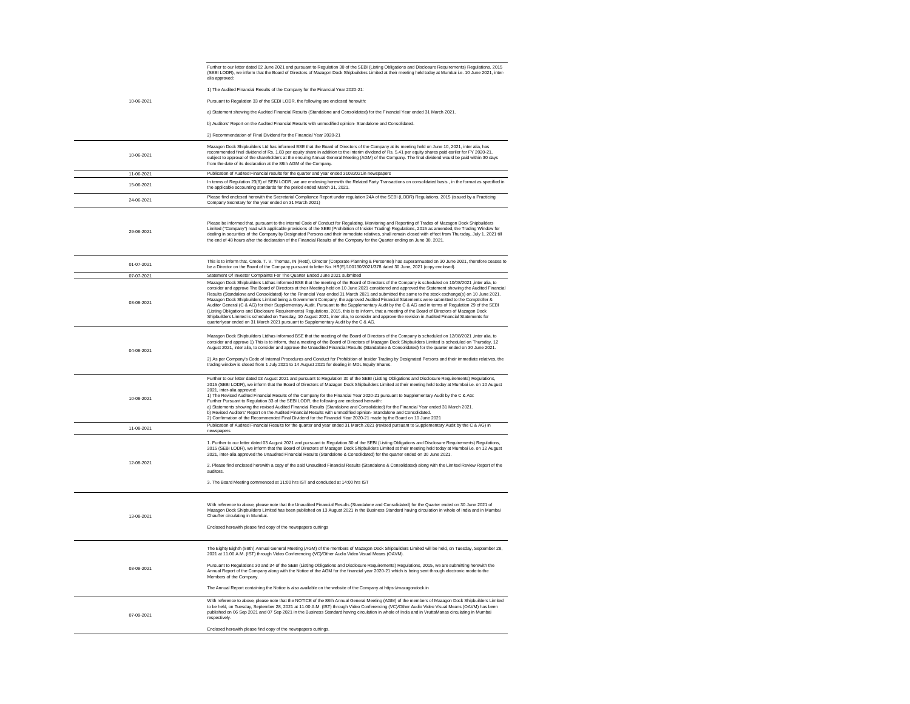|            | Further to our letter dated 02 June 2021 and pursuant to Regulation 30 of the SEBI (Listing Obligations and Disclosure Requirements) Regulations, 2015<br>(SEBI LODR), we inform that the Board of Directors of Mazagon Dock Shipbuilders Limited at their meeting held today at Mumbai i.e. 10 June 2021, inter-<br>alia approved:                                                                                                                                                                                                                                                                                                                                                                                                                                                                                                                                                                                                                                                                                                                                                                                                                                     |
|------------|-------------------------------------------------------------------------------------------------------------------------------------------------------------------------------------------------------------------------------------------------------------------------------------------------------------------------------------------------------------------------------------------------------------------------------------------------------------------------------------------------------------------------------------------------------------------------------------------------------------------------------------------------------------------------------------------------------------------------------------------------------------------------------------------------------------------------------------------------------------------------------------------------------------------------------------------------------------------------------------------------------------------------------------------------------------------------------------------------------------------------------------------------------------------------|
|            | 1) The Audited Financial Results of the Company for the Financial Year 2020-21:                                                                                                                                                                                                                                                                                                                                                                                                                                                                                                                                                                                                                                                                                                                                                                                                                                                                                                                                                                                                                                                                                         |
| 10-06-2021 | Pursuant to Regulation 33 of the SEBI LODR, the following are enclosed herewith:                                                                                                                                                                                                                                                                                                                                                                                                                                                                                                                                                                                                                                                                                                                                                                                                                                                                                                                                                                                                                                                                                        |
|            | a) Statement showing the Audited Financial Results (Standalone and Consolidated) for the Financial Year ended 31 March 2021.                                                                                                                                                                                                                                                                                                                                                                                                                                                                                                                                                                                                                                                                                                                                                                                                                                                                                                                                                                                                                                            |
|            | b) Auditors' Report on the Audited Financial Results with unmodified opinion- Standalone and Consolidated.                                                                                                                                                                                                                                                                                                                                                                                                                                                                                                                                                                                                                                                                                                                                                                                                                                                                                                                                                                                                                                                              |
|            | 2) Recommendation of Final Dividend for the Financial Year 2020-21                                                                                                                                                                                                                                                                                                                                                                                                                                                                                                                                                                                                                                                                                                                                                                                                                                                                                                                                                                                                                                                                                                      |
| 10-06-2021 | Mazagon Dock Shipbuilders Ltd has informed BSE that the Board of Directors of the Company at its meeting held on June 10, 2021, inter alia, has<br>recommended final dividend of Rs. 1.83 per equity share in addition to the interim dividend of Rs. 5.41 per equity shares paid eariler for FY 2020-21,<br>subject to approval of the shareholders at the ensuing Annual General Meeting (AGM) of the Company. The final dividend would be paid within 30 days<br>from the date of its declaration at the 88th AGM of the Company.                                                                                                                                                                                                                                                                                                                                                                                                                                                                                                                                                                                                                                    |
| 11-06-2021 | Publication of Audited Financial results for the quarter and year ended 31032021in newspapers                                                                                                                                                                                                                                                                                                                                                                                                                                                                                                                                                                                                                                                                                                                                                                                                                                                                                                                                                                                                                                                                           |
| 15-06-2021 | In terms of Regulation 23(9) of SEBI LODR, we are enclosing herewith the Related Party Transactions on consolidated basis, in the format as specified in<br>the applicable accounting standards for the period ended March 31, 2021.                                                                                                                                                                                                                                                                                                                                                                                                                                                                                                                                                                                                                                                                                                                                                                                                                                                                                                                                    |
| 24-06-2021 | Please find enclosed herewith the Secretarial Compliance Report under regulation 24A of the SEBI (LODR) Regulations, 2015 (issued by a Practicing<br>Company Secretary for the year ended on 31 March 2021)                                                                                                                                                                                                                                                                                                                                                                                                                                                                                                                                                                                                                                                                                                                                                                                                                                                                                                                                                             |
| 29-06-2021 | Please be informed that, pursuant to the internal Code of Conduct for Regulating, Monitoring and Reporting of Trades of Mazagon Dock Shipbuilders<br>Limited ("Company") read with applicable provisions of the SEBI (Prohibition of Insider Trading) Regulations, 2015 as amended, the Trading Window for<br>dealing in securities of the Company by Designated Persons and their immediate relatives, shall remain closed with effect from Thursday, July 1, 2021 till<br>the end of 48 hours after the declaration of the Financial Results of the Company for the Quarter ending on June 30, 2021.                                                                                                                                                                                                                                                                                                                                                                                                                                                                                                                                                                  |
| 01-07-2021 | This is to inform that, Cmde. T. V. Thomas, IN (Retd), Director (Corporate Planning & Personnel) has superannuated on 30 June 2021, therefore ceases to<br>be a Director on the Board of the Company pursuant to letter No. HR(E)/100130/2021/378 dated 30 June, 2021 (copy enclosed).                                                                                                                                                                                                                                                                                                                                                                                                                                                                                                                                                                                                                                                                                                                                                                                                                                                                                  |
| 07-07-2021 | Statement Of Investor Complaints For The Quarter Ended June 2021 submitted                                                                                                                                                                                                                                                                                                                                                                                                                                                                                                                                                                                                                                                                                                                                                                                                                                                                                                                                                                                                                                                                                              |
| 03-08-2021 | Mazagon Dock Shipbuilders Ltdhas informed BSE that the meeting of the Board of Directors of the Company is scheduled on 10/08/2021 , inter alia, to<br>consider and approve The Board of Directors at their Meeting held on 10 June 2021 considered and approved the Statement showing the Audited Financial<br>Results (Standalone and Consolidated) for the Financial Year ended 31 March 2021 and submitted the same to the stock exchange(s) on 10 June 2021.<br>Mazagon Dock Shipbuilders Limited being a Government Company, the approved Audited Financial Statements were submitted to the Comptroller &<br>Auditor General (C & AG) for their Supplementary Audit. Pursuant to the Supplementary Audit by the C & AG and in terms of Regulation 29 of the SEBI<br>(Listing Obligations and Disclosure Requirements) Regulations, 2015, this is to inform, that a meeting of the Board of Directors of Mazagon Dock<br>Shipbuilders Limited is scheduled on Tuesday, 10 August 2021, inter alia, to consider and approve the revision in Audited Financial Statements for<br>quarter/year ended on 31 March 2021 pursuant to Supplementary Audit by the C & AG. |
| 04-08-2021 | Mazagon Dock Shipbuilders Ltdhas informed BSE that the meeting of the Board of Directors of the Company is scheduled on 12/08/2021, inter alia, to<br>consider and approve 1) This is to inform, that a meeting of the Board of Directors of Mazagon Dock Shipbuilders Limited is scheduled on Thursday, 12<br>August 2021, inter alia, to consider and approve the Unaudited Financial Results (Standalone & Consolidated) for the quarter ended on 30 June 2021.<br>2) As per Company's Code of Internal Procedures and Conduct for Prohibition of Insider Trading by Designated Persons and their immediate relatives, the<br>trading window is closed from 1 July 2021 to 14 August 2021 for dealing in MDL Equity Shares.                                                                                                                                                                                                                                                                                                                                                                                                                                          |
| 10-08-2021 | Further to our letter dated 03 August 2021 and pursuant to Regulation 30 of the SEBI (Listing Obligations and Disclosure Requirements) Regulations,<br>2015 (SEBI LODR), we inform that the Board of Directors of Mazagon Dock Shipbuilders Limited at their meeting held today at Mumbai i.e. on 10 August<br>2021, inter-alia approved:<br>1) The Revised Audited Financial Results of the Company for the Financial Year 2020-21 pursuant to Supplementary Audit by the C & AG:<br>Further Pursuant to Regulation 33 of the SEBI LODR, the following are enclosed herewith:<br>a) Statements showing the revised Audited Financial Results (Standalone and Consolidated) for the Financial Year ended 31 March 2021.<br>b) Revised Auditors' Report on the Audited Financial Results with unmodified opinion-Standalone and Consolidated.<br>2) Confirmation of the Recommended Final Dividend for the Financial Year 2020-21 made by the Board on 10 June 2021                                                                                                                                                                                                      |
| 11-08-2021 | Publication of Audited Financial Results for the quarter and year ended 31 March 2021 (revised pursuant to Supplementary Audit by the C & AG) in<br>newspapers                                                                                                                                                                                                                                                                                                                                                                                                                                                                                                                                                                                                                                                                                                                                                                                                                                                                                                                                                                                                          |
| 12-08-2021 | 1. Further to our letter dated 03 August 2021 and pursuant to Regulation 30 of the SEBI (Listing Obligations and Disclosure Requirements) Regulations,<br>2015 (SEBI LODR), we inform that the Board of Directors of Mazagon Dock Shipbuilders Limited at their meeting held today at Mumbai i.e. on 12 August<br>2021, inter-alia approved the Unaudited Financial Results (Standalone & Consolidated) for the quarter ended on 30 June 2021.<br>2. Please find enclosed herewith a copy of the said Unaudited Financial Results (Standalone & Consolidated) along with the Limited Review Report of the<br>auditors.<br>3. The Board Meeting commenced at 11:00 hrs IST and concluded at 14:00 hrs IST                                                                                                                                                                                                                                                                                                                                                                                                                                                                |
| 13-08-2021 | With reference to above, please note that the Unaudited Financial Results (Standalone and Consolidated) for the Quarter ended on 30 June 2021 of<br>Mazagon Dock Shipbuilders Limited has been published on 13 August 2021 in the Business Standard having circulation in whole of India and in Mumbai<br>Chauffer circulating in Mumbai.<br>Enclosed herewith please find copy of the newspapers cuttings                                                                                                                                                                                                                                                                                                                                                                                                                                                                                                                                                                                                                                                                                                                                                              |
| 03-09-2021 | The Eighty Eighth (88th) Annual General Meeting (AGM) of the members of Mazagon Dock Shipbuilders Limited will be held, on Tuesday, September 28,<br>2021 at 11.00 A.M. (IST) through Video Conferencing (VC)/Other Audio Video Visual Means (OAVM).<br>Pursuant to Regulations 30 and 34 of the SEBI (Listing Obligations and Disclosure Requirements) Regulations, 2015, we are submitting herewith the<br>Annual Report of the Company along with the Notice of the AGM for the financial year 2020-21 which is being sent through electronic mode to the<br>Members of the Company.<br>The Annual Report containing the Notice is also available on the website of the Company at https://mazagondock.in                                                                                                                                                                                                                                                                                                                                                                                                                                                            |
| 07-09-2021 | With reference to above, please note that the NOTICE of the 88th Annual General Meeting (AGM) of the members of Mazagon Dock Shipbuilders Limited<br>to be held, on Tuesday, September 28, 2021 at 11.00 A.M. (IST) through Video Conferencing (VC)/Other Audio Video Visual Means (OAVM) has been<br>published on 06 Sep 2021 and 07 Sep 2021 in the Business Standard having circulation in whole of India and in VruttaManas circulating in Mumbai<br>respectively.<br>Enclosed herewith please find copy of the newspapers cuttings.                                                                                                                                                                                                                                                                                                                                                                                                                                                                                                                                                                                                                                |

 $\frac{1}{\sqrt{1-\frac{1}{2}}}\left( \frac{1}{\sqrt{1-\frac{1}{2}}}\right) ^{2}$ 

ays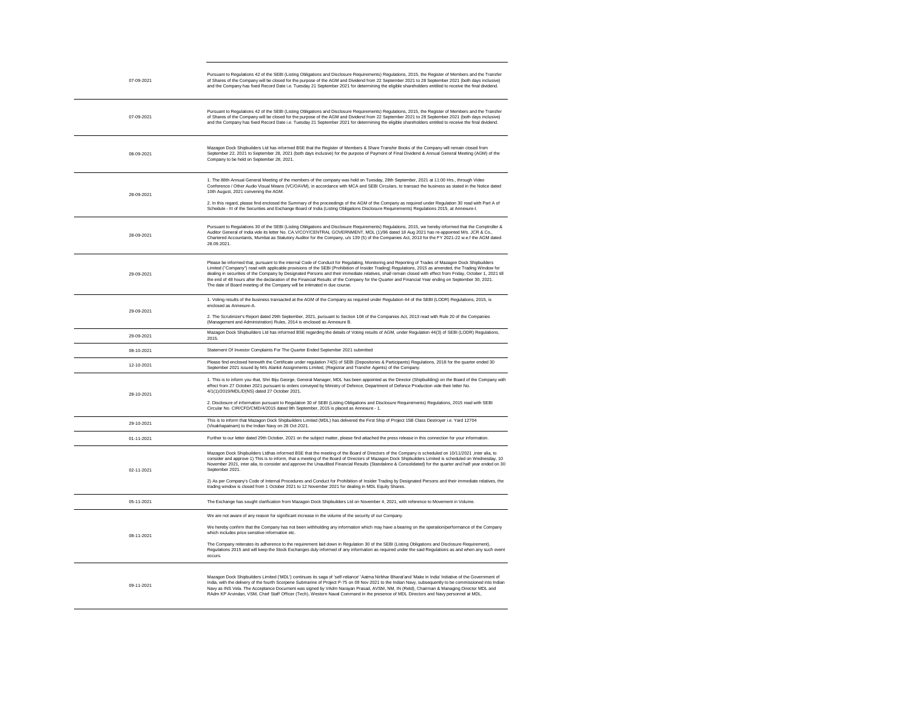| 07-09-2021 | Pursuant to Regulations 42 of the SEBI (Listing Obligations and Disclosure Requirements) Regulations, 2015, the Register of Members and the Transfer<br>of Shares of the Company will be closed for the purpose of the AGM and Dividend from 22 September 2021 to 28 September 2021 (both days inclusive)<br>and the Company has fixed Record Date i.e. Tuesday 21 September 2021 for determining the eligible shareholders entitled to receive the final dividend.                                                                                                                                                                                                                                          |
|------------|--------------------------------------------------------------------------------------------------------------------------------------------------------------------------------------------------------------------------------------------------------------------------------------------------------------------------------------------------------------------------------------------------------------------------------------------------------------------------------------------------------------------------------------------------------------------------------------------------------------------------------------------------------------------------------------------------------------|
| 07-09-2021 | Pursuant to Regulations 42 of the SEBI (Listing Obligations and Disclosure Requirements) Regulations, 2015, the Register of Members and the Transfer<br>of Shares of the Company will be closed for the purpose of the AGM and Dividend from 22 September 2021 to 28 September 2021 (both days inclusive)<br>and the Company has fixed Record Date i.e. Tuesday 21 September 2021 for determining the eligible shareholders entitled to receive the final dividend.                                                                                                                                                                                                                                          |
| 08-09-2021 | Mazagon Dock Shipbuilders Ltd has informed BSE that the Register of Members & Share Transfer Books of the Company will remain closed from<br>September 22, 2021 to September 28, 2021 (both days inclusive) for the purpose of Payment of Final Dividend & Annual General Meeting (AGM) of the<br>Company to be held on September 28, 2021.                                                                                                                                                                                                                                                                                                                                                                  |
| 28-09-2021 | 1. The 88th Annual General Meeting of the members of the company was held on Tuesday, 28th September, 2021 at 11:00 Hrs., through Video<br>Conference / Other Audio Visual Means (VC/OAVM), in accordance with MCA and SEBI Circulars, to transact the business as stated in the Notice dated<br>10th August, 2021 convening the AGM.<br>2. In this regard, please find enclosed the Summary of the proceedings of the AGM of the Company as required under Regulation 30 read with Part A of<br>Schedule - III of the Securities and Exchange Board of India (Listing Obligations Disclosure Requirements) Regulations 2015, at Annexure-I.                                                                 |
| 28-09-2021 | Pursuant to Regulations 30 of the SEBI (Listing Obligations and Disclosure Requirements) Regulations, 2015, we hereby informed that the Comptroller &<br>Auditor General of India vide its letter No. CA.V/COY/CENTRAL GOVERNMENT, MDL (1)/96 dated 18 Aug 2021 has re-appointed M/s. JCR & Co.,<br>Chartered Accountants, Mumbai as Statutory Auditor for the Company, u/s 139 (5) of the Companies Act, 2013 for the FY 2021-22 w.e.f the AGM dated<br>28.09.2021.                                                                                                                                                                                                                                         |
| 29-09-2021 | Please be informed that, pursuant to the internal Code of Conduct for Regulating, Monitoring and Reporting of Trades of Mazagon Dock Shipbuilders<br>Limited ("Company") read with applicable provisions of the SEBI (Prohibition of Insider Trading) Regulations, 2015 as amended, the Trading Window for<br>dealing in securities of the Company by Designated Persons and their immediate relatives, shall remain closed with effect from Friday, October 1, 2021 till<br>the end of 48 hours after the declaration of the Financial Results of the Company for the Quarter and Financial Year ending on September 30, 2021.<br>The date of Board meeting of the Company will be intimated in due course. |
| 29-09-2021 | 1. Voting results of the business transacted at the AGM of the Company as required under Regulation 44 of the SEBI (LODR) Regulations, 2015, is<br>enclosed as Annexure-A.<br>2. The Scrutinizer's Report dated 29th September, 2021, pursuant to Section 108 of the Companies Act, 2013 read with Rule 20 of the Companies                                                                                                                                                                                                                                                                                                                                                                                  |
| 29-09-2021 | (Management and Administration) Rules, 2014 is enclosed as Annexure B.<br>Mazagon Dock Shipbuilders Ltd has informed BSE regarding the details of Voting results of AGM, under Regulation 44(3) of SEBI (LODR) Regulations,<br>2015.                                                                                                                                                                                                                                                                                                                                                                                                                                                                         |
| 08-10-2021 | Statement Of Investor Complaints For The Quarter Ended September 2021 submitted                                                                                                                                                                                                                                                                                                                                                                                                                                                                                                                                                                                                                              |
| 12-10-2021 | Please find enclosed herewith the Certificate under regulation 74(5) of SEBI (Depositories & Participants) Regulations, 2018 for the quarter ended 30<br>September 2021 issued by M/s Alankit Assignments Limited, (Registrar and Transfer Agents) of the Company.                                                                                                                                                                                                                                                                                                                                                                                                                                           |
| 28-10-2021 | 1. This is to inform you that, Shri Biju George, General Manager, MDL has been appointed as the Director (Shipbuilding) on the Board of the Company with<br>effect from 27 October 2021 pursuant to orders conveyed by Ministry of Defence, Department of Defence Production vide their letter No.<br>4/1(1)/2019/MDL/D(NS) dated 27 October 2021.                                                                                                                                                                                                                                                                                                                                                           |
|            | 2. Disclosure of information pursuant to Regulation 30 of SEBI (Listing Obligations and Disclosure Requirements) Regulations, 2015 read with SEBI<br>Circular No. CIR/CFD/CMD/4/2015 dated 9th September, 2015 is placed as Annexure - 1.                                                                                                                                                                                                                                                                                                                                                                                                                                                                    |
| 29-10-2021 | This is to inform that Mazagon Dock Shipbuilders Limited (MDL) has delivered the First Ship of Project 15B Class Destroyer i.e. Yard 12704<br>(Visakhapatnam) to the Indian Navy on 28 Oct 2021.                                                                                                                                                                                                                                                                                                                                                                                                                                                                                                             |
| 01-11-2021 | Further to our letter dated 29th October, 2021 on the subject matter, please find attached the press release in this connection for your information.                                                                                                                                                                                                                                                                                                                                                                                                                                                                                                                                                        |
| 02-11-2021 | Mazagon Dock Shipbuilders Ltdhas informed BSE that the meeting of the Board of Directors of the Company is scheduled on 10/11/2021 ,inter alia, to<br>consider and approve 1) This is to inform, that a meeting of the Board of Directors of Mazagon Dock Shipbuilders Limited is scheduled on Wednesday, 10<br>November 2021, inter alia, to consider and approve the Unaudited Financial Results (Standalone & Consolidated) for the quarter and half year ended on 30<br>September 2021.                                                                                                                                                                                                                  |
|            | 2) As per Company's Code of Internal Procedures and Conduct for Prohibition of Insider Trading by Designated Persons and their immediate relatives, the<br>trading window is closed from 1 October 2021 to 12 November 2021 for dealing in MDL Equity Shares.                                                                                                                                                                                                                                                                                                                                                                                                                                                |
| 05-11-2021 | The Exchange has sought clarification from Mazagon Dock Shipbuilders Ltd on November 4, 2021, with reference to Movement in Volume.                                                                                                                                                                                                                                                                                                                                                                                                                                                                                                                                                                          |
|            | We are not aware of any reason for significant increase in the volume of the security of our Company.                                                                                                                                                                                                                                                                                                                                                                                                                                                                                                                                                                                                        |
| 08-11-2021 | We hereby confirm that the Company has not been withholding any information which may have a bearing on the operation/performance of the Company<br>which includes price sensitive information etc.                                                                                                                                                                                                                                                                                                                                                                                                                                                                                                          |
|            | The Company reiterates its adherence to the requirement laid down in Regulation 30 of the SEBI (Listing Obligations and Disclosure Requirement),<br>Regulations 2015 and will keep the Stock Exchanges duly informed of any information as required under the said Regulations as and when any such event<br>occurs.                                                                                                                                                                                                                                                                                                                                                                                         |
| 09-11-2021 | Mazagon Dock Shipbuilders Limited ('MDL') continues its saga of 'self-reliance' 'Aatma Nirbhar Bharat'and 'Make in India' Initiative of the Government of<br>India, with the delivery of the fourth Scorpene Submarine of Project P-75 on 09 Nov 2021 to the Indian Navy, subsequently to be commissioned into Indian<br>Navy as INS Vela. The Acceptance Document was signed by VAdm Narayan Prasad, AVSM, NM, IN (Retd), Chairman & Managing Director MDL and<br>RAdm KP Arvindan, VSM, Chief Staff Officer (Tech), Western Naval Command in the presence of MDL Directors and Navy personnel at MDL.                                                                                                      |

ller &

v for<br>)21 till

 $\overline{\phantom{0}}$ 

————<br>ny with

to<br>ay, 10<br>d on 30 the

event 

nt of<br>Indian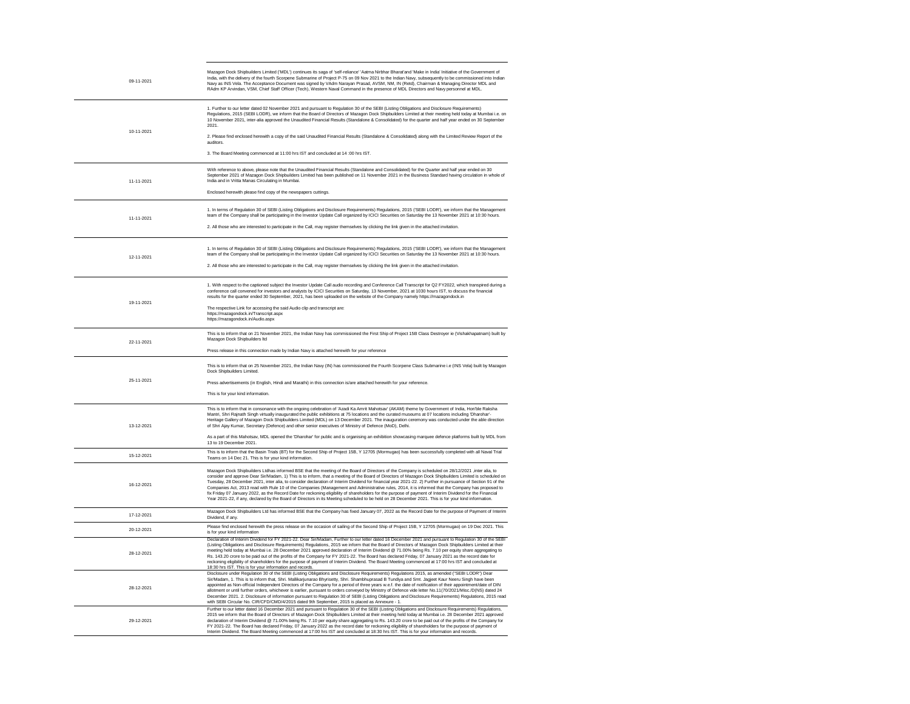| 09-11-2021 | Mazagon Dock Shipbuilders Limited ('MDL') continues its saga of 'self-reliance' 'Aatma Nirbhar Bharat'and 'Make in India' Initiative of the Government of<br>India, with the delivery of the fourth Scorpene Submarine of Project P-75 on 09 Nov 2021 to the Indian Navy, subsequently to be commissioned into Indian<br>Navy as INS Vela. The Acceptance Document was signed by VAdm Narayan Prasad, AVSM, NM, IN (Retd), Chairman & Managing Director MDL and<br>RAdm KP Arvindan, VSM, Chief Staff Officer (Tech), Western Naval Command in the presence of MDL Directors and Navy personnel at MDL.                                                                                                                                                                                                                                                                                                                                                  |
|------------|----------------------------------------------------------------------------------------------------------------------------------------------------------------------------------------------------------------------------------------------------------------------------------------------------------------------------------------------------------------------------------------------------------------------------------------------------------------------------------------------------------------------------------------------------------------------------------------------------------------------------------------------------------------------------------------------------------------------------------------------------------------------------------------------------------------------------------------------------------------------------------------------------------------------------------------------------------|
| 10-11-2021 | 1. Further to our letter dated 02 November 2021 and pursuant to Regulation 30 of the SEBI (Listing Obligations and Disclosure Requirements)<br>Regulations, 2015 (SEBI LODR), we inform that the Board of Directors of Mazagon Dock Shipbuilders Limited at their meeting held today at Mumbai i.e. on<br>10 November 2021, inter-alia approved the Unaudited Financial Results (Standalone & Consolidated) for the quarter and half year ended on 30 September<br>2021.                                                                                                                                                                                                                                                                                                                                                                                                                                                                                 |
|            | 2. Please find enclosed herewith a copy of the said Unaudited Financial Results (Standalone & Consolidated) along with the Limited Review Report of the<br>auditors.                                                                                                                                                                                                                                                                                                                                                                                                                                                                                                                                                                                                                                                                                                                                                                                     |
|            | 3. The Board Meeting commenced at 11:00 hrs IST and concluded at 14:00 hrs IST.                                                                                                                                                                                                                                                                                                                                                                                                                                                                                                                                                                                                                                                                                                                                                                                                                                                                          |
| 11-11-2021 | With reference to above, please note that the Unaudited Financial Results (Standalone and Consolidated) for the Quarter and half year ended on 30<br>September 2021 of Mazagon Dock Shipbuilders Limited has been published on 11 November 2021 in the Business Standard having circulation in whole of<br>India and in Vritta Manas Circulating in Mumbai.                                                                                                                                                                                                                                                                                                                                                                                                                                                                                                                                                                                              |
|            | Enclosed herewith please find copy of the newspapers cuttings.                                                                                                                                                                                                                                                                                                                                                                                                                                                                                                                                                                                                                                                                                                                                                                                                                                                                                           |
| 11-11-2021 | 1. In terms of Regulation 30 of SEBI (Listing Obligations and Disclosure Requirements) Regulations, 2015 ('SEBI LODR'), we inform that the Management<br>team of the Company shall be participating in the Investor Update Call organized by ICICI Securities on Saturday the 13 November 2021 at 10:30 hours.                                                                                                                                                                                                                                                                                                                                                                                                                                                                                                                                                                                                                                           |
|            | 2. All those who are interested to participate in the Call, may register themselves by clicking the link given in the attached invitation.                                                                                                                                                                                                                                                                                                                                                                                                                                                                                                                                                                                                                                                                                                                                                                                                               |
| 12-11-2021 | 1. In terms of Regulation 30 of SEBI (Listing Obligations and Disclosure Requirements) Regulations, 2015 ('SEBI LODR'), we inform that the Management<br>team of the Company shall be participating in the Investor Update Call organized by ICICI Securities on Saturday the 13 November 2021 at 10:30 hours.                                                                                                                                                                                                                                                                                                                                                                                                                                                                                                                                                                                                                                           |
|            | 2. All those who are interested to participate in the Call, may register themselves by clicking the link given in the attached invitation.                                                                                                                                                                                                                                                                                                                                                                                                                                                                                                                                                                                                                                                                                                                                                                                                               |
| 19-11-2021 | 1. With respect to the captioned subject the Investor Update Call audio recording and Conference Call Transcript for Q2 FY2022, which transpired during a<br>conference call convened for investors and analysts by ICICI Securities on Saturday, 13 November, 2021 at 1030 hours IST, to discuss the financial<br>results for the quarter ended 30 September, 2021, has been uploaded on the website of the Company namely https://mazagondock.in                                                                                                                                                                                                                                                                                                                                                                                                                                                                                                       |
|            | The respective Link for accessing the said Audio clip and transcript are:<br>https://mazagondock.in/Transcript.aspx<br>https://mazagondock.in/Audio.aspx                                                                                                                                                                                                                                                                                                                                                                                                                                                                                                                                                                                                                                                                                                                                                                                                 |
| 22-11-2021 | This is to inform that on 21 November 2021, the Indian Navy has commissioned the First Ship of Project 15B Class Destroyer ie (Vishakhapatnam) built by<br>Mazagon Dock Shipbuilders Itd                                                                                                                                                                                                                                                                                                                                                                                                                                                                                                                                                                                                                                                                                                                                                                 |
|            | Press release in this connection made by Indian Navy is attached herewith for your reference                                                                                                                                                                                                                                                                                                                                                                                                                                                                                                                                                                                                                                                                                                                                                                                                                                                             |
| 25-11-2021 | This is to inform that on 25 November 2021, the Indian Navy (IN) has commissioned the Fourth Scorpene Class Submarine i.e (INS Vela) built by Mazagon<br>Dock Shipbuilders Limited.                                                                                                                                                                                                                                                                                                                                                                                                                                                                                                                                                                                                                                                                                                                                                                      |
|            | Press advertisements (in English, Hindi and Marathi) in this connection is/are attached herewith for your reference.                                                                                                                                                                                                                                                                                                                                                                                                                                                                                                                                                                                                                                                                                                                                                                                                                                     |
|            | This is for your kind information.                                                                                                                                                                                                                                                                                                                                                                                                                                                                                                                                                                                                                                                                                                                                                                                                                                                                                                                       |
| 13-12-2021 | This is to inform that in consonance with the ongoing celebration of 'Azadi Ka Amrit Mahotsav' (AKAM) theme by Government of India, Hon'ble Raksha<br>Mantri, Shri Rajnath Singh virtually inaugurated the public exhibitions at 75 locations and the curated museums at 07 locations including 'Dharohar'-<br>Heritage Gallery of Mazagon Dock Shipbuilders Limited (MDL) on 13 December 2021. The inauguration ceremony was conducted under the able direction<br>of Shri Ajay Kumar, Secretary (Defence) and other senior executives of Ministry of Defence (MoD), Delhi.                                                                                                                                                                                                                                                                                                                                                                             |
|            | As a part of this Mahotsav, MDL opened the 'Dharohar' for public and is organising an exhibition showcasing marquee defence platforms built by MDL from<br>13 to 19 December 2021.                                                                                                                                                                                                                                                                                                                                                                                                                                                                                                                                                                                                                                                                                                                                                                       |
| 15-12-2021 | This is to inform that the Basin Trials (BT) for the Second Ship of Project 15B, Y 12705 (Mormugao) has been successfully completed with all Naval Trial<br>Teams on 14 Dec 21. This is for your kind information.                                                                                                                                                                                                                                                                                                                                                                                                                                                                                                                                                                                                                                                                                                                                       |
| 16-12-2021 | Mazagon Dock Shipbuilders Ltdhas informed BSE that the meeting of the Board of Directors of the Company is scheduled on 28/12/2021 ,inter alia, to<br>consider and approve Dear Sir/Madam, 1) This is to inform, that a meeting of the Board of Directors of Mazagon Dock Shipbuilders Limited is scheduled on<br>Tuesday, 28 December 2021, inter alia, to consider declaration of Interim Dividend for financial year 2021-22. 2) Further in pursuance of Section 91 of the<br>Companies Act, 2013 read with Rule 10 of the Companies (Management and Administrative rules, 2014, it is informed that the Company has proposed to<br>fix Friday 07 January 2022, as the Record Date for reckoning eligibility of shareholders for the purpose of payment of Interim Dividend for the Financial<br>Year 2021-22, if any, declared by the Board of Directors in its Meeting scheduled to be held on 28 December 2021. This is for your kind information. |
| 17-12-2021 | Mazagon Dock Shipbuilders Ltd has informed BSE that the Company has fixed January 07, 2022 as the Record Date for the purpose of Payment of Interim<br>Dividend, if any.                                                                                                                                                                                                                                                                                                                                                                                                                                                                                                                                                                                                                                                                                                                                                                                 |
| 20-12-2021 | Please find enclosed herewith the press release on the occasion of sailing of the Second Ship of Project 15B, Y 12705 (Mormugao) on 19 Dec 2021. This<br>is for your kind information                                                                                                                                                                                                                                                                                                                                                                                                                                                                                                                                                                                                                                                                                                                                                                    |
| 28-12-2021 | Declaration of Interim Dividend for FY 2021-22. Dear Sir/Madam, Further to our letter dated 16 December 2021 and pursuant to Regulation 30 of the SEBI<br>(Listing Obligations and Disclosure Requirements) Regulations, 2015 we inform that the Board of Directors of Mazagon Dock Shipbuilders Limited at their<br>meeting held today at Mumbai i.e. 28 December 2021 approved declaration of Interim Dividend @ 71.00% being Rs. 7.10 per equity share aggregating to<br>Rs. 143.20 crore to be paid out of the profits of the Company for FY 2021-22. The Board has declared Friday, 07 January 2021 as the record date for<br>reckoning eligibility of shareholders for the purpose of payment of Interim Dividend. The Board Meeting commenced at 17:00 hrs IST and concluded at<br>18:30 hrs IST. This is for your information and records.                                                                                                       |
| 28-12-2021 | Disclosure under Regulation 30 of the SEBI (Listing Obligations and Disclosure Requirements) Regulations 2015, as amended ("SEBI LODR") Dear<br>Sir/Madam, 1. This is to inform that, Shri. Mallikarjunarao Bhyrisetty, Shri. Shambhuprasad B Tundiya and Smt. Jagjeet Kaur Neeru Singh have been<br>appointed as Non-official Independent Directors of the Company for a period of three years w.e.f. the date of notification of their appointment/date of DIN<br>allotment or until further orders, whichever is earlier, pursuant to orders conveyed by Ministry of Defence vide letter No.11(70/2021/Misc./D(NS) dated 24<br>December 2021. 2. Disclosure of information pursuant to Regulation 30 of SEBI (Listing Obligations and Disclosure Requirements) Regulations, 2015 read<br>with SEBI Circular No. CIR/CFD/CMD/4/2015 dated 9th September, 2015 is placed as Annexure - 1.                                                               |
| 29-12-2021 | Further to our letter dated 16 December 2021 and pursuant to Regulation 30 of the SEBI (Listing Obligations and Disclosure Requirements) Regulations,<br>2015 we inform that the Board of Directors of Mazagon Dock Shipbuilders Limited at their meeting held today at Mumbai i.e. 28 December 2021 approved<br>declaration of Interim Dividend @ 71.00% being Rs. 7.10 per equity share aggregating to Rs. 143.20 crore to be paid out of the profits of the Company for<br>FY 2021-22. The Board has declared Friday, 07 January 2022 as the record date for reckoning eligibility of shareholders for the purpose of payment of<br>Interim Dividend. The Board Meeting commenced at 17:00 hrs IST and concluded at 18:30 hrs IST. This is for your information and records.                                                                                                                                                                          |

## 

 $\overline{\phantom{a}}$ 

 $\overline{\phantom{a}}$ 

## 

 $\overline{\phantom{a}}$